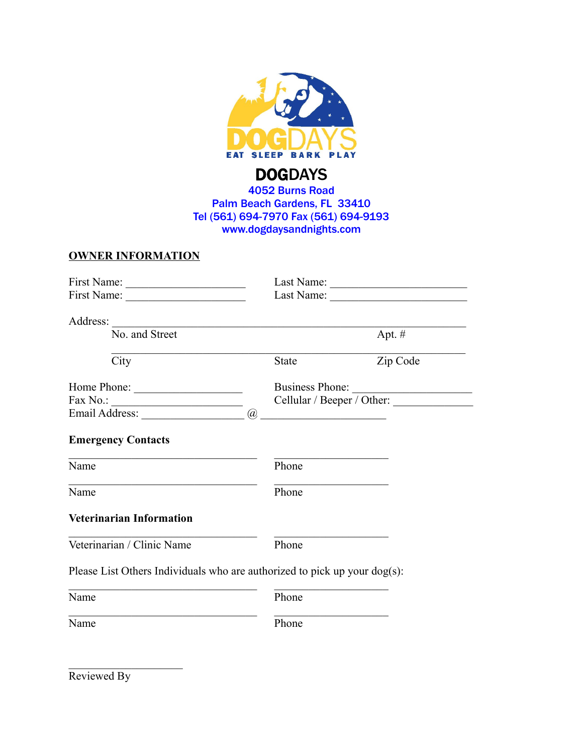

# 4052 Burns Road Palm Beach Gardens, FL 33410 Tel (561) 694-7970 Fax (561) 694-9193 www.dogdaysandnights.com

### **OWNER INFORMATION**

| First Name:                                                                                                                      |                            |          |
|----------------------------------------------------------------------------------------------------------------------------------|----------------------------|----------|
| Address:<br><u> 1989 - Johann Barn, mars eta bainar eta bainar eta baina eta baina eta baina eta baina eta baina eta baina e</u> |                            |          |
| No. and Street                                                                                                                   | Apt. $#$                   |          |
| City                                                                                                                             | State                      | Zip Code |
| Home Phone:                                                                                                                      | Business Phone:            |          |
|                                                                                                                                  | Cellular / Beeper / Other: |          |
|                                                                                                                                  |                            |          |
| <b>Emergency Contacts</b>                                                                                                        |                            |          |
| Name                                                                                                                             | Phone                      |          |
| Name                                                                                                                             | Phone                      |          |
| <b>Veterinarian Information</b>                                                                                                  |                            |          |
| Veterinarian / Clinic Name                                                                                                       | Phone                      |          |
| Please List Others Individuals who are authorized to pick up your dog(s):                                                        |                            |          |
| Name                                                                                                                             | Phone                      |          |
| Name                                                                                                                             | Phone                      |          |
|                                                                                                                                  |                            |          |

Reviewed By

 $\mathcal{L}_\text{max}$  , where  $\mathcal{L}_\text{max}$  , we have the set of  $\mathcal{L}_\text{max}$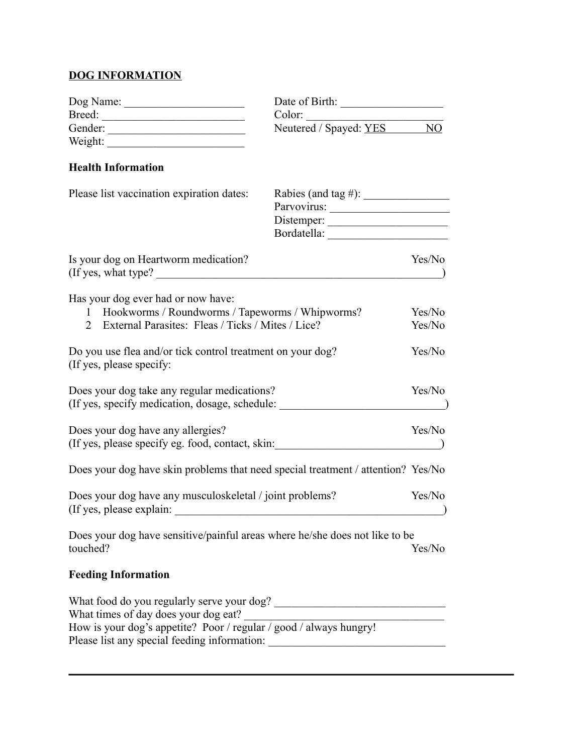# **DOG INFORMATION**

| Dog Name: | Date of Birth:               |
|-----------|------------------------------|
| Breed:    | Color:                       |
| Gender:   | Neutered / Spayed: YES<br>NО |
| Weight:   |                              |
|           |                              |

## **Health Information**

| Please list vaccination expiration dates:                                                                                                                       | Rabies (and tag #): $\_\_\_\_\_\_\_\_\_\_\_\_\_\_\_\_\_\_\_\_\_\_$<br>Distemper:<br>Bordatella: |                  |
|-----------------------------------------------------------------------------------------------------------------------------------------------------------------|-------------------------------------------------------------------------------------------------|------------------|
| Is your dog on Heartworm medication?<br>(If yes, what type?)                                                                                                    |                                                                                                 | Yes/No           |
| Has your dog ever had or now have:<br>Hookworms / Roundworms / Tapeworms / Whipworms?<br>$\mathbf{1}$<br>External Parasites: Fleas / Ticks / Mites / Lice?<br>2 |                                                                                                 | Yes/No<br>Yes/No |
| Do you use flea and/or tick control treatment on your dog?<br>(If yes, please specify:                                                                          |                                                                                                 | Yes/No           |
| Does your dog take any regular medications?<br>(If yes, specify medication, dosage, schedule:                                                                   |                                                                                                 | Yes/No           |
| Does your dog have any allergies?<br>(If yes, please specify eg. food, contact, skin:                                                                           |                                                                                                 | Yes/No           |
| Does your dog have skin problems that need special treatment / attention? Yes/No                                                                                |                                                                                                 |                  |
| Does your dog have any musculoskeletal / joint problems?<br>(If yes, please explain:                                                                            |                                                                                                 | Yes/No           |
| Does your dog have sensitive/painful areas where he/she does not like to be<br>touched?                                                                         |                                                                                                 | Yes/No           |
| <b>Feeding Information</b>                                                                                                                                      |                                                                                                 |                  |
| What food do you regularly serve your dog?<br>What times of day does your dog eat?<br>How is your dog's appetite? Poor / regular / good / always hungry!        |                                                                                                 |                  |

Please list any special feeding information: \_\_\_\_\_\_\_\_\_\_\_\_\_\_\_\_\_\_\_\_\_\_\_\_\_\_\_\_\_\_\_\_\_\_\_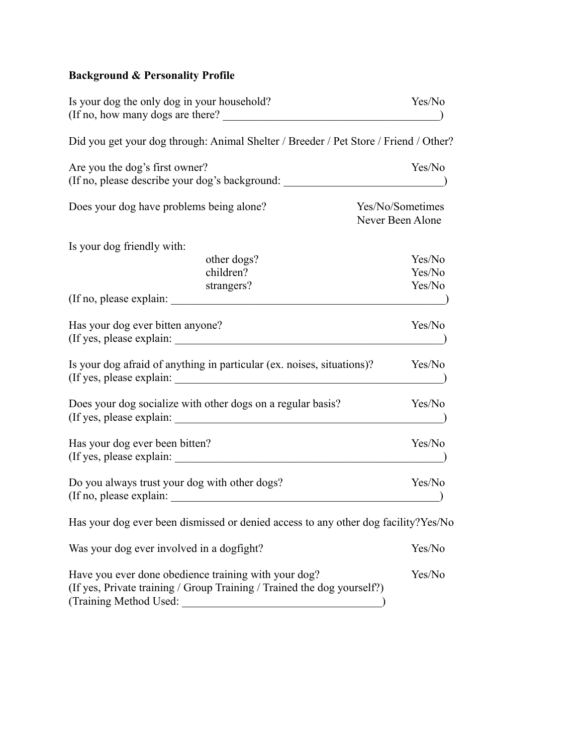# **Background & Personality Profile**

| Is your dog the only dog in your household?<br>(If no, how many dogs are there?)     | Yes/No                               |
|--------------------------------------------------------------------------------------|--------------------------------------|
| Did you get your dog through: Animal Shelter / Breeder / Pet Store / Friend / Other? |                                      |
| Are you the dog's first owner?<br>(If no, please describe your dog's background:     | Yes/No                               |
| Does your dog have problems being alone?                                             | Yes/No/Sometimes<br>Never Been Alone |
| Is your dog friendly with:                                                           |                                      |
| other dogs?                                                                          | Yes/No                               |
| children?                                                                            | Yes/No                               |
| strangers?<br>(If no, please explain:                                                | Yes/No                               |
| Has your dog ever bitten anyone?<br>(If yes, please explain:                         | Yes/No                               |
| Is your dog afraid of anything in particular (ex. noises, situations)?               | Yes/No                               |
| Does your dog socialize with other dogs on a regular basis?                          | Yes/No                               |
| Has your dog ever been bitten?                                                       | Yes/No                               |
| Do you always trust your dog with other dogs?                                        | Yes/No                               |
| Has your dog ever been dismissed or denied access to any other dog facility?Yes/No   |                                      |
| Was your dog ever involved in a dogfight?                                            | Yes/No                               |
| Have you ever done obedience training with your dog?                                 | Yes/No                               |

(If yes, Private training / Group Training / Trained the dog yourself?) (Training Method Used: \_\_\_\_\_\_\_\_\_\_\_\_\_\_\_\_\_\_\_\_\_\_\_\_\_\_\_\_\_\_\_\_\_\_\_)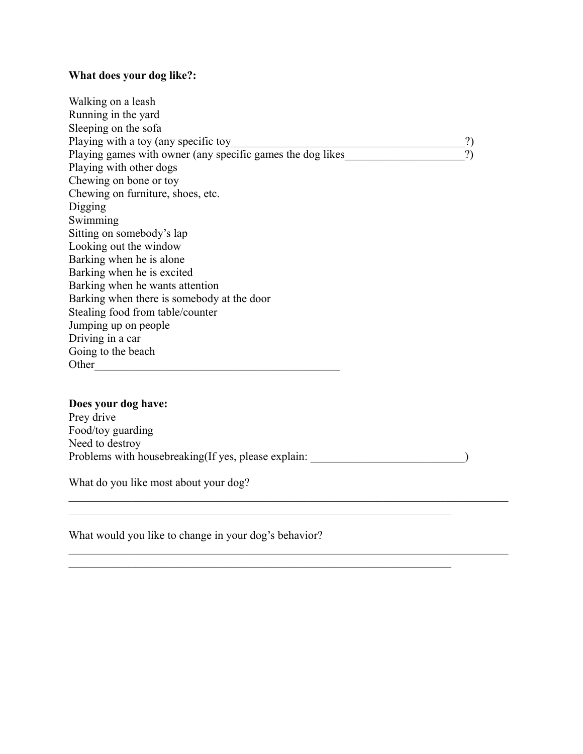#### **What does your dog like?:**

Walking on a leash Running in the yard Sleeping on the sofa Playing with a toy (any specific toy\_\_\_\_\_\_\_\_\_\_\_\_\_\_\_\_\_\_\_\_\_\_\_\_\_\_\_\_\_\_\_\_\_\_\_\_\_\_\_\_\_?) Playing games with owner (any specific games the dog likes  $\qquad$  ?) Playing with other dogs Chewing on bone or toy Chewing on furniture, shoes, etc. Digging Swimming Sitting on somebody's lap Looking out the window Barking when he is alone Barking when he is excited Barking when he wants attention Barking when there is somebody at the door Stealing food from table/counter Jumping up on people Driving in a car Going to the beach Other\_\_\_\_\_\_\_\_\_\_\_\_\_\_\_\_\_\_\_\_\_\_\_\_\_\_\_\_\_\_\_\_\_\_\_\_\_\_\_\_\_\_\_

### **Does your dog have:**

Prey drive Food/toy guarding Need to destroy Problems with housebreaking(If yes, please explain:  $\qquad \qquad$ )

 $\mathcal{L}_\mathcal{L} = \{ \mathcal{L}_\mathcal{L} = \{ \mathcal{L}_\mathcal{L} = \{ \mathcal{L}_\mathcal{L} = \{ \mathcal{L}_\mathcal{L} = \{ \mathcal{L}_\mathcal{L} = \{ \mathcal{L}_\mathcal{L} = \{ \mathcal{L}_\mathcal{L} = \{ \mathcal{L}_\mathcal{L} = \{ \mathcal{L}_\mathcal{L} = \{ \mathcal{L}_\mathcal{L} = \{ \mathcal{L}_\mathcal{L} = \{ \mathcal{L}_\mathcal{L} = \{ \mathcal{L}_\mathcal{L} = \{ \mathcal{L}_\mathcal{$ 

 $\mathcal{L}_\mathcal{L} = \{ \mathcal{L}_\mathcal{L} = \{ \mathcal{L}_\mathcal{L} = \{ \mathcal{L}_\mathcal{L} = \{ \mathcal{L}_\mathcal{L} = \{ \mathcal{L}_\mathcal{L} = \{ \mathcal{L}_\mathcal{L} = \{ \mathcal{L}_\mathcal{L} = \{ \mathcal{L}_\mathcal{L} = \{ \mathcal{L}_\mathcal{L} = \{ \mathcal{L}_\mathcal{L} = \{ \mathcal{L}_\mathcal{L} = \{ \mathcal{L}_\mathcal{L} = \{ \mathcal{L}_\mathcal{L} = \{ \mathcal{L}_\mathcal{$ 

 $\mathcal{L}_\mathcal{L} = \{ \mathcal{L}_\mathcal{L} = \{ \mathcal{L}_\mathcal{L} = \{ \mathcal{L}_\mathcal{L} = \{ \mathcal{L}_\mathcal{L} = \{ \mathcal{L}_\mathcal{L} = \{ \mathcal{L}_\mathcal{L} = \{ \mathcal{L}_\mathcal{L} = \{ \mathcal{L}_\mathcal{L} = \{ \mathcal{L}_\mathcal{L} = \{ \mathcal{L}_\mathcal{L} = \{ \mathcal{L}_\mathcal{L} = \{ \mathcal{L}_\mathcal{L} = \{ \mathcal{L}_\mathcal{L} = \{ \mathcal{L}_\mathcal{$ 

 $\mathcal{L}_\mathcal{L} = \{ \mathcal{L}_\mathcal{L} = \{ \mathcal{L}_\mathcal{L} = \{ \mathcal{L}_\mathcal{L} = \{ \mathcal{L}_\mathcal{L} = \{ \mathcal{L}_\mathcal{L} = \{ \mathcal{L}_\mathcal{L} = \{ \mathcal{L}_\mathcal{L} = \{ \mathcal{L}_\mathcal{L} = \{ \mathcal{L}_\mathcal{L} = \{ \mathcal{L}_\mathcal{L} = \{ \mathcal{L}_\mathcal{L} = \{ \mathcal{L}_\mathcal{L} = \{ \mathcal{L}_\mathcal{L} = \{ \mathcal{L}_\mathcal{$ 

What do you like most about your dog?

What would you like to change in your dog's behavior?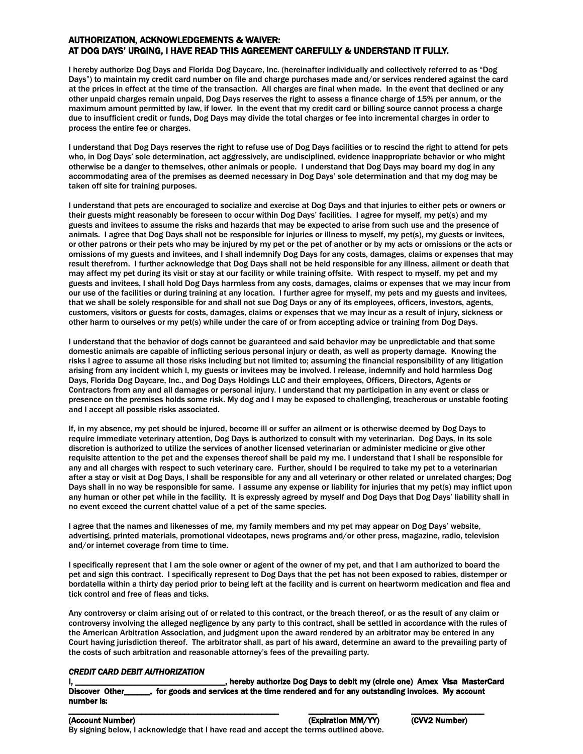#### AUTHORIZATION, ACKNOWLEDGEMENTS & WAIVER: AT DOG DAYS' URGING, I HAVE READ THIS AGREEMENT CAREFULLY & UNDERSTAND IT FULLY.

I hereby authorize Dog Days and Florida Dog Daycare, Inc. (hereinafter individually and collectively referred to as "Dog Days") to maintain my credit card number on file and charge purchases made and/or services rendered against the card at the prices in effect at the time of the transaction. All charges are final when made. In the event that declined or any other unpaid charges remain unpaid, Dog Days reserves the right to assess a finance charge of 15% per annum, or the maximum amount permitted by law, if lower. In the event that my credit card or billing source cannot process a charge due to insufficient credit or funds, Dog Days may divide the total charges or fee into incremental charges in order to process the entire fee or charges.

I understand that Dog Days reserves the right to refuse use of Dog Days facilities or to rescind the right to attend for pets who, in Dog Days' sole determination, act aggressively, are undisciplined, evidence inappropriate behavior or who might otherwise be a danger to themselves, other animals or people. I understand that Dog Days may board my dog in any accommodating area of the premises as deemed necessary in Dog Days' sole determination and that my dog may be taken off site for training purposes.

I understand that pets are encouraged to socialize and exercise at Dog Days and that injuries to either pets or owners or their guests might reasonably be foreseen to occur within Dog Days' facilities. I agree for myself, my pet(s) and my guests and invitees to assume the risks and hazards that may be expected to arise from such use and the presence of animals. I agree that Dog Days shall not be responsible for injuries or illness to myself, my pet(s), my guests or invitees, or other patrons or their pets who may be injured by my pet or the pet of another or by my acts or omissions or the acts or omissions of my guests and invitees, and I shall indemnify Dog Days for any costs, damages, claims or expenses that may result therefrom. I further acknowledge that Dog Days shall not be held responsible for any illness, ailment or death that may affect my pet during its visit or stay at our facility or while training offsite. With respect to myself, my pet and my guests and invitees, I shall hold Dog Days harmless from any costs, damages, claims or expenses that we may incur from our use of the facilities or during training at any location. I further agree for myself, my pets and my guests and invitees, that we shall be solely responsible for and shall not sue Dog Days or any of its employees, officers, investors, agents, customers, visitors or guests for costs, damages, claims or expenses that we may incur as a result of injury, sickness or other harm to ourselves or my pet(s) while under the care of or from accepting advice or training from Dog Days.

I understand that the behavior of dogs cannot be guaranteed and said behavior may be unpredictable and that some domestic animals are capable of inflicting serious personal injury or death, as well as property damage. Knowing the risks I agree to assume all those risks including but not limited to; assuming the financial responsibility of any litigation arising from any incident which I, my guests or invitees may be involved. I release, indemnify and hold harmless Dog Days, Florida Dog Daycare, Inc., and Dog Days Holdings LLC and their employees, Officers, Directors, Agents or Contractors from any and all damages or personal injury. I understand that my participation in any event or class or presence on the premises holds some risk. My dog and I may be exposed to challenging, treacherous or unstable footing and I accept all possible risks associated.

If, in my absence, my pet should be injured, become ill or suffer an ailment or is otherwise deemed by Dog Days to require immediate veterinary attention, Dog Days is authorized to consult with my veterinarian. Dog Days, in its sole discretion is authorized to utilize the services of another licensed veterinarian or administer medicine or give other requisite attention to the pet and the expenses thereof shall be paid my me. I understand that I shall be responsible for any and all charges with respect to such veterinary care. Further, should I be required to take my pet to a veterinarian after a stay or visit at Dog Days, I shall be responsible for any and all veterinary or other related or unrelated charges; Dog Days shall in no way be responsible for same. I assume any expense or liability for injuries that my pet(s) may inflict upon any human or other pet while in the facility. It is expressly agreed by myself and Dog Days that Dog Days' liability shall in no event exceed the current chattel value of a pet of the same species.

I agree that the names and likenesses of me, my family members and my pet may appear on Dog Days' website, advertising, printed materials, promotional videotapes, news programs and/or other press, magazine, radio, television and/or internet coverage from time to time.

I specifically represent that I am the sole owner or agent of the owner of my pet, and that I am authorized to board the pet and sign this contract. I specifically represent to Dog Days that the pet has not been exposed to rabies, distemper or bordatella within a thirty day period prior to being left at the facility and is current on heartworm medication and flea and tick control and free of fleas and ticks.

Any controversy or claim arising out of or related to this contract, or the breach thereof, or as the result of any claim or controversy involving the alleged negligence by any party to this contract, shall be settled in accordance with the rules of the American Arbitration Association, and judgment upon the award rendered by an arbitrator may be entered in any Court having jurisdiction thereof. The arbitrator shall, as part of his award, determine an award to the prevailing party of the costs of such arbitration and reasonable attorney's fees of the prevailing party.

#### *CREDIT CARD DEBIT AUTHORIZATION*

I, \_\_\_\_\_\_\_\_\_\_\_\_\_\_\_\_\_\_\_\_\_\_\_\_\_\_\_\_\_\_\_\_\_\_\_, hereby authorize Dog Days to debit my (circle one) Amex Visa MasterCard Discover Other\_\_\_\_\_\_, for goods and services at the time rendered and for any outstanding invoices. My account number is: